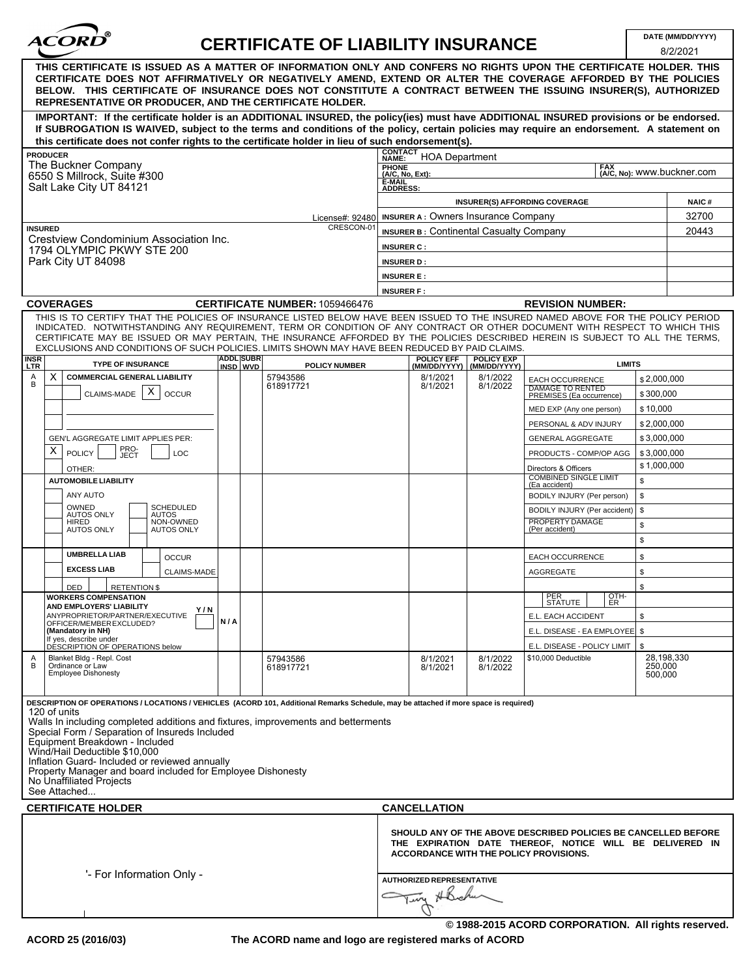| <b>ACORD</b> |  |
|--------------|--|
|              |  |

# **CERTIFICATE OF LIABILITY INSURANCE DATE (MM/DD/YYYY)**

|                                                                                                                                                                                                                                                                                                                                                                                                                                                                                                                             |                              |  |                                                                                                                                                                             |                                                                      |                                      |                                                  |                                                            |                                  | 8/2/2021 |
|-----------------------------------------------------------------------------------------------------------------------------------------------------------------------------------------------------------------------------------------------------------------------------------------------------------------------------------------------------------------------------------------------------------------------------------------------------------------------------------------------------------------------------|------------------------------|--|-----------------------------------------------------------------------------------------------------------------------------------------------------------------------------|----------------------------------------------------------------------|--------------------------------------|--------------------------------------------------|------------------------------------------------------------|----------------------------------|----------|
| THIS CERTIFICATE IS ISSUED AS A MATTER OF INFORMATION ONLY AND CONFERS NO RIGHTS UPON THE CERTIFICATE HOLDER. THIS<br>CERTIFICATE DOES NOT AFFIRMATIVELY OR NEGATIVELY AMEND, EXTEND OR ALTER THE COVERAGE AFFORDED BY THE POLICIES<br>BELOW. THIS CERTIFICATE OF INSURANCE DOES NOT CONSTITUTE A CONTRACT BETWEEN THE ISSUING INSURER(S), AUTHORIZED<br>REPRESENTATIVE OR PRODUCER, AND THE CERTIFICATE HOLDER.                                                                                                            |                              |  |                                                                                                                                                                             |                                                                      |                                      |                                                  |                                                            |                                  |          |
| IMPORTANT: If the certificate holder is an ADDITIONAL INSURED, the policy(ies) must have ADDITIONAL INSURED provisions or be endorsed.                                                                                                                                                                                                                                                                                                                                                                                      |                              |  |                                                                                                                                                                             |                                                                      |                                      |                                                  |                                                            |                                  |          |
| If SUBROGATION IS WAIVED, subject to the terms and conditions of the policy, certain policies may require an endorsement. A statement on                                                                                                                                                                                                                                                                                                                                                                                    |                              |  |                                                                                                                                                                             |                                                                      |                                      |                                                  |                                                            |                                  |          |
| this certificate does not confer rights to the certificate holder in lieu of such endorsement(s).                                                                                                                                                                                                                                                                                                                                                                                                                           |                              |  |                                                                                                                                                                             | <b>CONTACT</b>                                                       |                                      |                                                  |                                                            |                                  |          |
| <b>PRODUCER</b><br>The Buckner Company                                                                                                                                                                                                                                                                                                                                                                                                                                                                                      |                              |  |                                                                                                                                                                             | <b>NAME:</b>                                                         | <b>HOA Department</b>                |                                                  |                                                            |                                  |          |
| 6550 S Millrock, Suite #300                                                                                                                                                                                                                                                                                                                                                                                                                                                                                                 |                              |  |                                                                                                                                                                             | PHONE<br>(A/C, No, Ext):<br><b>FAX</b><br>(A/C, No): WWW.buckner.com |                                      |                                                  |                                                            |                                  |          |
| Salt Lake City UT 84121                                                                                                                                                                                                                                                                                                                                                                                                                                                                                                     |                              |  |                                                                                                                                                                             | E-MAIL<br><b>ADDRESS:</b>                                            |                                      |                                                  |                                                            |                                  |          |
|                                                                                                                                                                                                                                                                                                                                                                                                                                                                                                                             |                              |  |                                                                                                                                                                             |                                                                      | <b>INSURER(S) AFFORDING COVERAGE</b> |                                                  |                                                            |                                  |          |
| License#: 92480<br>CRESCON-01                                                                                                                                                                                                                                                                                                                                                                                                                                                                                               |                              |  | <b>INSURER A: Owners Insurance Company</b>                                                                                                                                  |                                                                      |                                      |                                                  |                                                            | 32700                            |          |
| <b>INSURED</b><br>Crestview Condominium Association Inc.<br>1794 OLYMPIC PKWY STE 200                                                                                                                                                                                                                                                                                                                                                                                                                                       |                              |  |                                                                                                                                                                             | <b>INSURER B: Continental Casualty Company</b><br>20443              |                                      |                                                  |                                                            |                                  |          |
|                                                                                                                                                                                                                                                                                                                                                                                                                                                                                                                             |                              |  |                                                                                                                                                                             | <b>INSURER C:</b>                                                    |                                      |                                                  |                                                            |                                  |          |
| Park City UT 84098                                                                                                                                                                                                                                                                                                                                                                                                                                                                                                          |                              |  |                                                                                                                                                                             | <b>INSURER D:</b>                                                    |                                      |                                                  |                                                            |                                  |          |
|                                                                                                                                                                                                                                                                                                                                                                                                                                                                                                                             |                              |  |                                                                                                                                                                             | <b>INSURER E:</b><br><b>INSURER F:</b>                               |                                      |                                                  |                                                            |                                  |          |
| <b>COVERAGES</b><br>CERTIFICATE NUMBER: 1059466476                                                                                                                                                                                                                                                                                                                                                                                                                                                                          |                              |  |                                                                                                                                                                             |                                                                      |                                      | <b>REVISION NUMBER:</b>                          |                                                            |                                  |          |
| THIS IS TO CERTIFY THAT THE POLICIES OF INSURANCE LISTED BELOW HAVE BEEN ISSUED TO THE INSURED NAMED ABOVE FOR THE POLICY PERIOD                                                                                                                                                                                                                                                                                                                                                                                            |                              |  |                                                                                                                                                                             |                                                                      |                                      |                                                  |                                                            |                                  |          |
| INDICATED. NOTWITHSTANDING ANY REQUIREMENT, TERM OR CONDITION OF ANY CONTRACT OR OTHER DOCUMENT WITH RESPECT TO WHICH THIS<br>CERTIFICATE MAY BE ISSUED OR MAY PERTAIN, THE INSURANCE AFFORDED BY THE POLICIES DESCRIBED HEREIN IS SUBJECT TO ALL THE TERMS,<br>EXCLUSIONS AND CONDITIONS OF SUCH POLICIES. LIMITS SHOWN MAY HAVE BEEN REDUCED BY PAID CLAIMS.                                                                                                                                                              |                              |  |                                                                                                                                                                             |                                                                      |                                      |                                                  |                                                            |                                  |          |
| <b>INSR</b><br><b>TYPE OF INSURANCE</b><br><b>LTR</b>                                                                                                                                                                                                                                                                                                                                                                                                                                                                       | <b>ADDL</b> SUBR<br>INSD WVD |  | <b>POLICY NUMBER</b>                                                                                                                                                        |                                                                      | <b>POLICY EFF</b>                    | <b>POLICY EXP</b><br>(MM/DD/YYYY)   (MM/DD/YYYY) | <b>LIMITS</b>                                              |                                  |          |
| Χ<br><b>COMMERCIAL GENERAL LIABILITY</b><br>Α<br>B                                                                                                                                                                                                                                                                                                                                                                                                                                                                          |                              |  | 57943586<br>618917721                                                                                                                                                       |                                                                      | 8/1/2021<br>8/1/2021                 | 8/1/2022<br>8/1/2022                             | EACH OCCURRENCE                                            | \$2,000,000                      |          |
| Χ<br>CLAIMS-MADE<br><b>OCCUR</b>                                                                                                                                                                                                                                                                                                                                                                                                                                                                                            |                              |  |                                                                                                                                                                             |                                                                      |                                      |                                                  | <b>DAMAGE TO RENTED</b><br>PREMISES (Ea occurrence)        | \$300,000                        |          |
|                                                                                                                                                                                                                                                                                                                                                                                                                                                                                                                             |                              |  |                                                                                                                                                                             |                                                                      |                                      |                                                  | MED EXP (Any one person)                                   | \$10,000                         |          |
|                                                                                                                                                                                                                                                                                                                                                                                                                                                                                                                             |                              |  |                                                                                                                                                                             |                                                                      |                                      |                                                  | PERSONAL & ADV INJURY                                      | \$2,000,000                      |          |
| GEN'L AGGREGATE LIMIT APPLIES PER:                                                                                                                                                                                                                                                                                                                                                                                                                                                                                          |                              |  |                                                                                                                                                                             |                                                                      |                                      |                                                  | <b>GENERAL AGGREGATE</b>                                   | \$3,000,000                      |          |
| PRO-<br>х<br><b>POLICY</b><br>LOC<br>JECT                                                                                                                                                                                                                                                                                                                                                                                                                                                                                   |                              |  |                                                                                                                                                                             |                                                                      |                                      |                                                  | PRODUCTS - COMP/OP AGG                                     | \$3,000,000                      |          |
| OTHER:                                                                                                                                                                                                                                                                                                                                                                                                                                                                                                                      |                              |  |                                                                                                                                                                             |                                                                      |                                      |                                                  | Directors & Officers<br><b>COMBINED SINGLE LIMIT</b>       | \$1,000,000                      |          |
| <b>AUTOMOBILE LIABILITY</b>                                                                                                                                                                                                                                                                                                                                                                                                                                                                                                 |                              |  |                                                                                                                                                                             |                                                                      |                                      |                                                  | (Ea accident)                                              | \$                               |          |
| ANY AUTO<br><b>SCHEDULED</b><br>OWNED                                                                                                                                                                                                                                                                                                                                                                                                                                                                                       |                              |  |                                                                                                                                                                             |                                                                      |                                      |                                                  | BODILY INJURY (Per person)<br>BODILY INJURY (Per accident) | \$<br>\$                         |          |
| <b>AUTOS ONLY</b><br>AUTOS<br>NON-OWNED<br>HIRED                                                                                                                                                                                                                                                                                                                                                                                                                                                                            |                              |  |                                                                                                                                                                             |                                                                      |                                      |                                                  | PROPERTY DAMAGE                                            | \$                               |          |
| <b>AUTOS ONLY</b><br><b>AUTOS ONLY</b>                                                                                                                                                                                                                                                                                                                                                                                                                                                                                      |                              |  |                                                                                                                                                                             |                                                                      |                                      |                                                  | (Per accident)                                             | \$                               |          |
| <b>UMBRELLA LIAB</b><br><b>OCCUR</b>                                                                                                                                                                                                                                                                                                                                                                                                                                                                                        |                              |  |                                                                                                                                                                             |                                                                      |                                      |                                                  | EACH OCCURRENCE                                            | \$                               |          |
| <b>EXCESS LIAB</b><br><b>CLAIMS-MADE</b>                                                                                                                                                                                                                                                                                                                                                                                                                                                                                    |                              |  |                                                                                                                                                                             |                                                                      |                                      |                                                  | <b>AGGREGATE</b>                                           | \$                               |          |
| <b>RETENTION \$</b><br><b>DED</b>                                                                                                                                                                                                                                                                                                                                                                                                                                                                                           |                              |  |                                                                                                                                                                             |                                                                      |                                      |                                                  |                                                            | \$                               |          |
| <b>WORKERS COMPENSATION</b>                                                                                                                                                                                                                                                                                                                                                                                                                                                                                                 |                              |  |                                                                                                                                                                             |                                                                      |                                      |                                                  | PER<br>OTH-<br>  STATUTE  <br>I ER                         |                                  |          |
| <b>AND EMPLOYERS' LIABILITY</b><br>Y/N<br>ANYPROPRIETOR/PARTNER/EXECUTIVE                                                                                                                                                                                                                                                                                                                                                                                                                                                   |                              |  |                                                                                                                                                                             |                                                                      |                                      |                                                  | E.L. EACH ACCIDENT                                         | \$                               |          |
| OFFICER/MEMBER EXCLUDED?<br>(Mandatory in NH)                                                                                                                                                                                                                                                                                                                                                                                                                                                                               | N/A                          |  |                                                                                                                                                                             |                                                                      |                                      |                                                  | E.L. DISEASE - EA EMPLOYEE   \$                            |                                  |          |
| If yes, describe under<br>DESCRIPTION OF OPERATIONS below                                                                                                                                                                                                                                                                                                                                                                                                                                                                   |                              |  |                                                                                                                                                                             |                                                                      |                                      |                                                  | E.L. DISEASE - POLICY LIMIT                                | \$                               |          |
| Blanket Bldg - Repl. Cost<br>Α<br>B<br>Ordinance or Law<br><b>Employee Dishonesty</b>                                                                                                                                                                                                                                                                                                                                                                                                                                       |                              |  | 57943586<br>618917721                                                                                                                                                       |                                                                      | 8/1/2021<br>8/1/2021                 | 8/1/2022<br>8/1/2022                             | \$10,000 Deductible                                        | 28,198,330<br>250,000<br>500,000 |          |
| DESCRIPTION OF OPERATIONS / LOCATIONS / VEHICLES (ACORD 101, Additional Remarks Schedule, may be attached if more space is required)<br>120 of units<br>Walls In including completed additions and fixtures, improvements and betterments<br>Special Form / Separation of Insureds Included<br>Equipment Breakdown - Included<br>Wind/Hail Deductible \$10,000<br>Inflation Guard- Included or reviewed annually<br>Property Manager and board included for Employee Dishonesty<br>No Unaffiliated Projects<br>See Attached |                              |  |                                                                                                                                                                             |                                                                      |                                      |                                                  |                                                            |                                  |          |
| <b>CERTIFICATE HOLDER</b>                                                                                                                                                                                                                                                                                                                                                                                                                                                                                                   |                              |  |                                                                                                                                                                             | <b>CANCELLATION</b>                                                  |                                      |                                                  |                                                            |                                  |          |
|                                                                                                                                                                                                                                                                                                                                                                                                                                                                                                                             |                              |  | SHOULD ANY OF THE ABOVE DESCRIBED POLICIES BE CANCELLED BEFORE<br>THE EXPIRATION DATE THEREOF, NOTICE WILL BE DELIVERED IN<br><b>ACCORDANCE WITH THE POLICY PROVISIONS.</b> |                                                                      |                                      |                                                  |                                                            |                                  |          |
| '- For Information Only -                                                                                                                                                                                                                                                                                                                                                                                                                                                                                                   |                              |  |                                                                                                                                                                             | <b>AUTHORIZED REPRESENTATIVE</b><br>Tury HBreha                      |                                      |                                                  |                                                            |                                  |          |

**© 1988-2015 ACORD CORPORATION. All rights reserved.**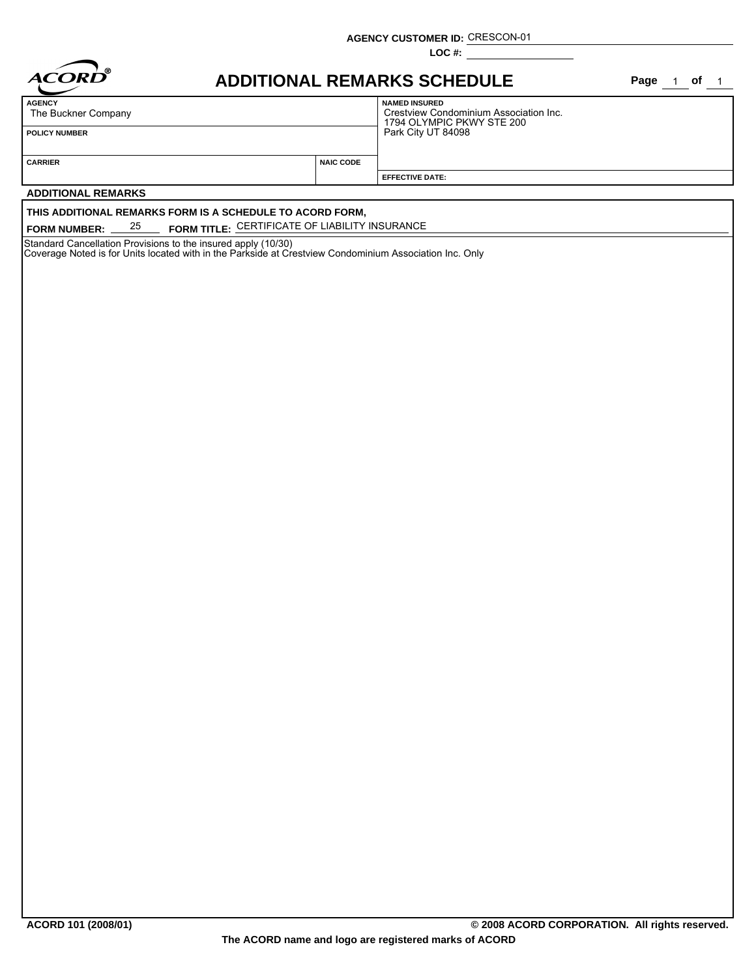**AGENCY CUSTOMER ID:** CRESCON-01

**LOC #:**

| ൫<br><i><b>ACORD</b></i> |
|--------------------------|
|                          |

## **ADDITIONAL REMARKS SCHEDULE Page of**

Page  $1$  of  $1$ 

| <b>AGENCY</b><br>The Buckner Company | <b>NAMED INSURED</b><br>Crestview Condominium Association Inc.<br>1794 OLYMPIC PKWY STE 200 |                        |  |  |  |
|--------------------------------------|---------------------------------------------------------------------------------------------|------------------------|--|--|--|
| <b>POLICY NUMBER</b>                 | Park City UT 84098                                                                          |                        |  |  |  |
|                                      |                                                                                             |                        |  |  |  |
| <b>CARRIER</b>                       | <b>NAIC CODE</b>                                                                            |                        |  |  |  |
|                                      |                                                                                             | <b>EFFECTIVE DATE:</b> |  |  |  |

#### **ADDITIONAL REMARKS**

#### **THIS ADDITIONAL REMARKS FORM IS A SCHEDULE TO ACORD FORM,**

**FORM NUMBER:** \_\_\_25 \_\_\_ FORM TITLE: <u>CERTIFICATE OF LIABILITY INSURANCE</u>

Standard Cancellation Provisions to the insured apply (10/30)

Coverage Noted is for Units located with in the Parkside at Crestview Condominium Association Inc. Only